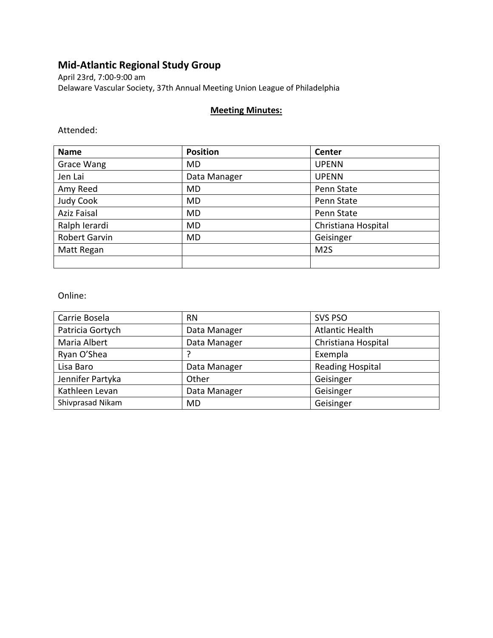# **Mid-Atlantic Regional Study Group**

April 23rd, 7:00-9:00 am Delaware Vascular Society, 37th Annual Meeting Union League of Philadelphia

#### **Meeting Minutes:**

Attended:

| <b>Name</b>        | <b>Position</b> | <b>Center</b>       |
|--------------------|-----------------|---------------------|
| Grace Wang         | MD              | <b>UPENN</b>        |
| Jen Lai            | Data Manager    | <b>UPENN</b>        |
| Amy Reed           | MD              | Penn State          |
| Judy Cook          | MD              | Penn State          |
| <b>Aziz Faisal</b> | MD              | Penn State          |
| Ralph Ierardi      | MD              | Christiana Hospital |
| Robert Garvin      | MD              | Geisinger           |
| Matt Regan         |                 | M <sub>2</sub> S    |
|                    |                 |                     |

Online:

| Carrie Bosela    | <b>RN</b>    | <b>SVS PSO</b>          |
|------------------|--------------|-------------------------|
| Patricia Gortych | Data Manager | <b>Atlantic Health</b>  |
| Maria Albert     | Data Manager | Christiana Hospital     |
| Ryan O'Shea      |              | Exempla                 |
| Lisa Baro        | Data Manager | <b>Reading Hospital</b> |
| Jennifer Partyka | Other        | Geisinger               |
| Kathleen Levan   | Data Manager | Geisinger               |
| Shivprasad Nikam | MD           | Geisinger               |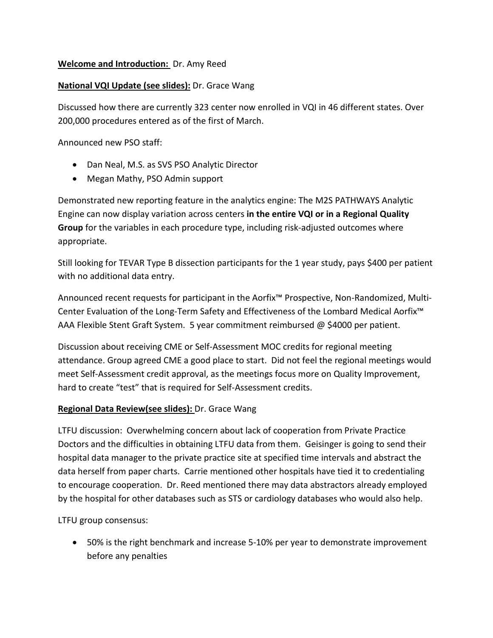## **Welcome and Introduction:** Dr. Amy Reed

### **National VQI Update (see slides):** Dr. Grace Wang

Discussed how there are currently 323 center now enrolled in VQI in 46 different states. Over 200,000 procedures entered as of the first of March.

Announced new PSO staff:

- Dan Neal, M.S. as SVS PSO Analytic Director
- Megan Mathy, PSO Admin support

Demonstrated new reporting feature in the analytics engine: The M2S PATHWAYS Analytic Engine can now display variation across centers **in the entire VQI or in a Regional Quality Group** for the variables in each procedure type, including risk-adjusted outcomes where appropriate.

Still looking for TEVAR Type B dissection participants for the 1 year study, pays \$400 per patient with no additional data entry.

Announced recent requests for participant in the Aorfix™ Prospective, Non-Randomized, Multi-Center Evaluation of the Long-Term Safety and Effectiveness of the Lombard Medical Aorfix™ AAA Flexible Stent Graft System. 5 year commitment reimbursed @ \$4000 per patient.

Discussion about receiving CME or Self-Assessment MOC credits for regional meeting attendance. Group agreed CME a good place to start. Did not feel the regional meetings would meet Self-Assessment credit approval, as the meetings focus more on Quality Improvement, hard to create "test" that is required for Self-Assessment credits.

## **Regional Data Review(see slides):** Dr. Grace Wang

LTFU discussion: Overwhelming concern about lack of cooperation from Private Practice Doctors and the difficulties in obtaining LTFU data from them. Geisinger is going to send their hospital data manager to the private practice site at specified time intervals and abstract the data herself from paper charts. Carrie mentioned other hospitals have tied it to credentialing to encourage cooperation. Dr. Reed mentioned there may data abstractors already employed by the hospital for other databases such as STS or cardiology databases who would also help.

LTFU group consensus:

• 50% is the right benchmark and increase 5-10% per year to demonstrate improvement before any penalties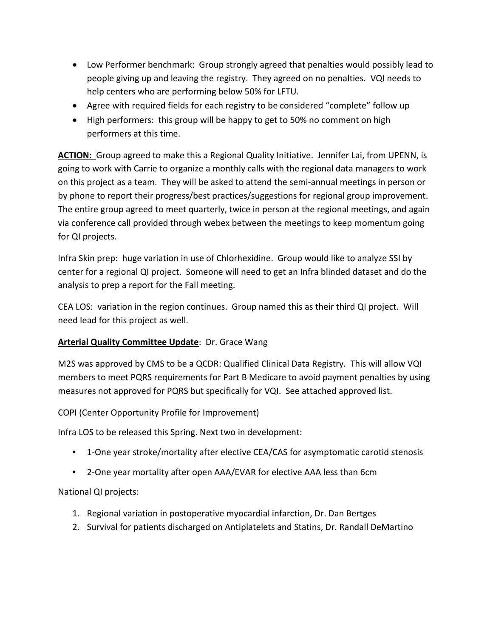- Low Performer benchmark: Group strongly agreed that penalties would possibly lead to people giving up and leaving the registry. They agreed on no penalties. VQI needs to help centers who are performing below 50% for LFTU.
- Agree with required fields for each registry to be considered "complete" follow up
- High performers: this group will be happy to get to 50% no comment on high performers at this time.

ACTION: Group agreed to make this a Regional Quality Initiative. Jennifer Lai, from UPENN, is going to work with Carrie to organize a monthly calls with the regional data managers to work on this project as a team. They will be asked to attend the semi-annual meetings in person or by phone to report their progress/best practices/suggestions for regional group improvement. The entire group agreed to meet quarterly, twice in person at the regional meetings, and again via conference call provided through webex between the meetings to keep momentum going for QI projects.

Infra Skin prep: huge variation in use of Chlorhexidine. Group would like to analyze SSI by center for a regional QI project. Someone will need to get an Infra blinded dataset and do the analysis to prep a report for the Fall meeting.

CEA LOS: variation in the region continues. Group named this as their third QI project. Will need lead for this project as well.

## **Arterial Quality Committee Update**: Dr. Grace Wang

M2S was approved by CMS to be a QCDR: Qualified Clinical Data Registry. This will allow VQI members to meet PQRS requirements for Part B Medicare to avoid payment penalties by using measures not approved for PQRS but specifically for VQI. See attached approved list.

COPI (Center Opportunity Profile for Improvement)

Infra LOS to be released this Spring. Next two in development:

- 1-One year stroke/mortality after elective CEA/CAS for asymptomatic carotid stenosis
- 2-One year mortality after open AAA/EVAR for elective AAA less than 6cm

National QI projects:

- 1. Regional variation in postoperative myocardial infarction, Dr. Dan Bertges
- 2. Survival for patients discharged on Antiplatelets and Statins, Dr. Randall DeMartino